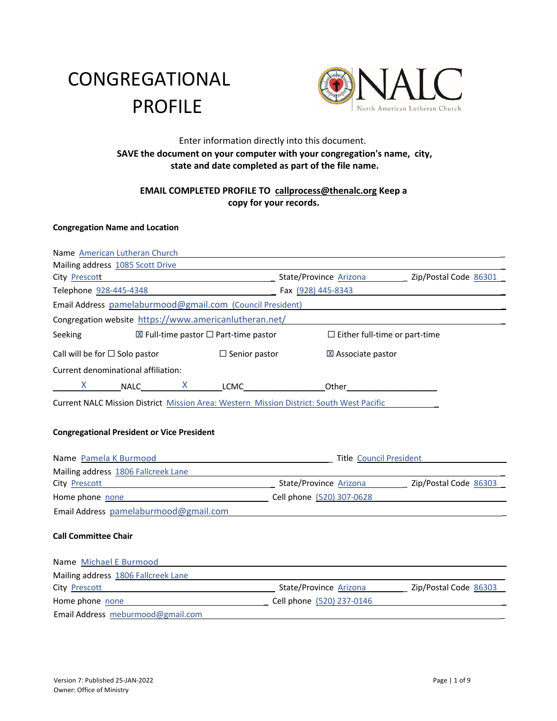# CONGREGATIONAL PROFILE



## Enter information directly into this document. **SAVE the document on your computer with your congregation's name, city, state and date completed as part of the file name.**

## **EMAIL COMPLETED PROFILE TO callprocess@thenalc.org Keep a copy for your records.**

## **Congregation Name and Location**

| City Prescott 266301                                                                            |
|-------------------------------------------------------------------------------------------------|
| Telephone 928-445-4348 2010 2020 7 Fax (928) 445-8343                                           |
| Email Address pamelaburmood@gmail.com (Council President)                                       |
| Congregation website https://www.americanlutheran.net/                                          |
| $\boxtimes$ Full-time pastor $\square$ Part-time pastor<br>$\Box$ Either full-time or part-time |
| $\Box$ Senior pastor<br>X Associate pastor                                                      |
|                                                                                                 |
| $X$ NALC $X$ LCMC Dther $X$                                                                     |
| Current NALC Mission District Mission Area: Western Mission District: South West Pacific        |
|                                                                                                 |
|                                                                                                 |
|                                                                                                 |
|                                                                                                 |
| Name Pamela K Burmood <b>Analysis</b> Title Council President                                   |
| Mailing address 1806 Fallcreek Lane                                                             |
| City Prescott 26303                                                                             |
|                                                                                                 |
|                                                                                                 |
|                                                                                                 |
|                                                                                                 |
|                                                                                                 |
|                                                                                                 |
| City Prescott <b>City Prescott</b> 26303                                                        |
| Cell phone (520) 237-0146                                                                       |
|                                                                                                 |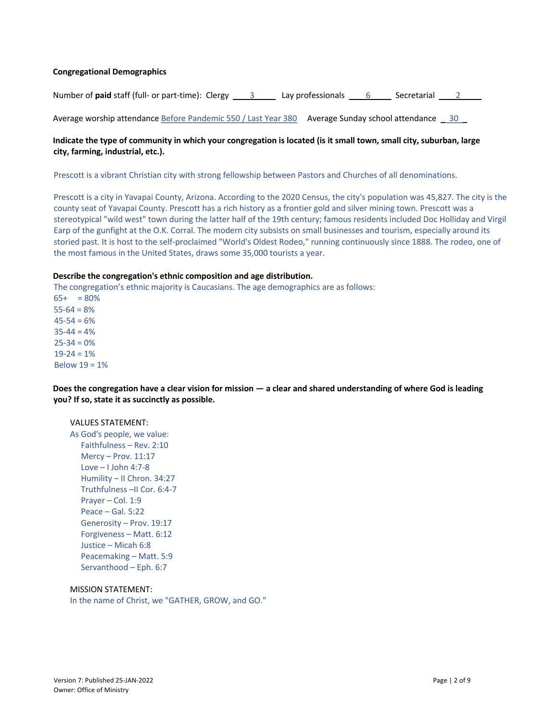#### **Congregational Demographics**

Number of **paid** staff (full- or part-time): Clergy \_ 3 \_ Lay professionals \_ 6 \_ Secretarial \_ 2 \_

Average worship attendance Before Pandemic 550 / Last Year 380 Average Sunday school attendance 30

## **Indicate the type of community in which your congregation is located (is it small town, small city, suburban, large city, farming, industrial, etc.).**

Prescott is a vibrant Christian city with strong fellowship between Pastors and Churches of all denominations.

Prescott is a city in Yavapai County, Arizona. According to the 2020 Census, the city's population was 45,827. The city is the county seat of Yavapai County. Prescott has a rich history as a frontier gold and silver mining town. Prescott was a stereotypical "wild west" town during the latter half of the 19th century; famous residents included Doc Holliday and Virgil Earp of the gunfight at the O.K. Corral. The modern city subsists on small businesses and tourism, especially around its storied past. It is host to the self-proclaimed "World's Oldest Rodeo," running continuously since 1888. The rodeo, one of the most famous in the United States, draws some 35,000 tourists a year.

#### **Describe the congregation's ethnic composition and age distribution.**

The congregation's ethnic majority is Caucasians. The age demographics are as follows:

 $65+ = 80%$  $55-64 = 8%$  $45 - 54 = 6%$  $35 - 44 = 4%$  $25 - 34 = 0%$  $19-24 = 1%$ Below 19 = 1%

**Does the congregation have a clear vision for mission — a clear and shared understanding of where God is leading you? If so, state it as succinctly as possible.**

## VALUES STATEMENT:

As God's people, we value: Faithfulness – Rev. 2:10 Mercy – Prov. 11:17 Love – I John 4:7-8 Humility – II Chron. 34:27 Truthfulness –II Cor. 6:4-7 Prayer – Col. 1:9 Peace – Gal. 5:22 Generosity – Prov. 19:17 Forgiveness – Matt. 6:12 Justice – Micah 6:8 Peacemaking – Matt. 5:9 Servanthood – Eph. 6:7

## MISSION STATEMENT:

In the name of Christ, we "GATHER, GROW, and GO."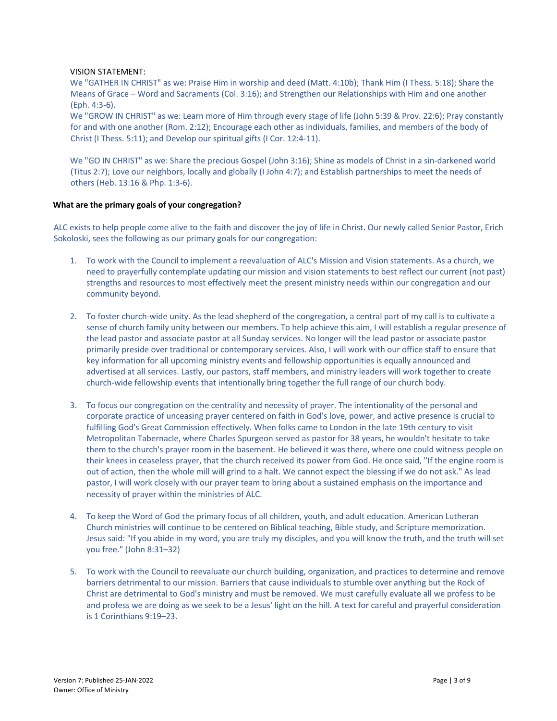#### VISION STATEMENT:

We "GATHER IN CHRIST" as we: Praise Him in worship and deed (Matt. 4:10b); Thank Him (I Thess. 5:18); Share the Means of Grace – Word and Sacraments (Col. 3:16); and Strengthen our Relationships with Him and one another (Eph. 4:3-6).

We "GROW IN CHRIST" as we: Learn more of Him through every stage of life (John 5:39 & Prov. 22:6); Pray constantly for and with one another (Rom. 2:12); Encourage each other as individuals, families, and members of the body of Christ (I Thess. 5:11); and Develop our spiritual gifts (I Cor. 12:4-11).

We "GO IN CHRIST" as we: Share the precious Gospel (John 3:16); Shine as models of Christ in a sin-darkened world (Titus 2:7); Love our neighbors, locally and globally (I John 4:7); and Establish partnerships to meet the needs of others (Heb. 13:16 & Php. 1:3-6).

#### **What are the primary goals of your congregation?**

ALC exists to help people come alive to the faith and discover the joy of life in Christ. Our newly called Senior Pastor, Erich Sokoloski, sees the following as our primary goals for our congregation:

- 1. To work with the Council to implement a reevaluation of ALC's Mission and Vision statements. As a church, we need to prayerfully contemplate updating our mission and vision statements to best reflect our current (not past) strengths and resources to most effectively meet the present ministry needs within our congregation and our community beyond.
- 2. To foster church-wide unity. As the lead shepherd of the congregation, a central part of my call is to cultivate a sense of church family unity between our members. To help achieve this aim, I will establish a regular presence of the lead pastor and associate pastor at all Sunday services. No longer will the lead pastor or associate pastor primarily preside over traditional or contemporary services. Also, I will work with our office staff to ensure that key information for all upcoming ministry events and fellowship opportunities is equally announced and advertised at all services. Lastly, our pastors, staff members, and ministry leaders will work together to create church-wide fellowship events that intentionally bring together the full range of our church body.
- 3. To focus our congregation on the centrality and necessity of prayer. The intentionality of the personal and corporate practice of unceasing prayer centered on faith in God's love, power, and active presence is crucial to fulfilling God's Great Commission effectively. When folks came to London in the late 19th century to visit Metropolitan Tabernacle, where Charles Spurgeon served as pastor for 38 years, he wouldn't hesitate to take them to the church's prayer room in the basement. He believed it was there, where one could witness people on their knees in ceaseless prayer, that the church received its power from God. He once said, "If the engine room is out of action, then the whole mill will grind to a halt. We cannot expect the blessing if we do not ask." As lead pastor, I will work closely with our prayer team to bring about a sustained emphasis on the importance and necessity of prayer within the ministries of ALC.
- 4. To keep the Word of God the primary focus of all children, youth, and adult education. American Lutheran Church ministries will continue to be centered on Biblical teaching, Bible study, and Scripture memorization. Jesus said: "If you abide in my word, you are truly my disciples, and you will know the truth, and the truth will set you free." (John 8:31–32)
- 5. To work with the Council to reevaluate our church building, organization, and practices to determine and remove barriers detrimental to our mission. Barriers that cause individuals to stumble over anything but the Rock of Christ are detrimental to God's ministry and must be removed. We must carefully evaluate all we profess to be and profess we are doing as we seek to be a Jesus' light on the hill. A text for careful and prayerful consideration is 1 Corinthians 9:19–23.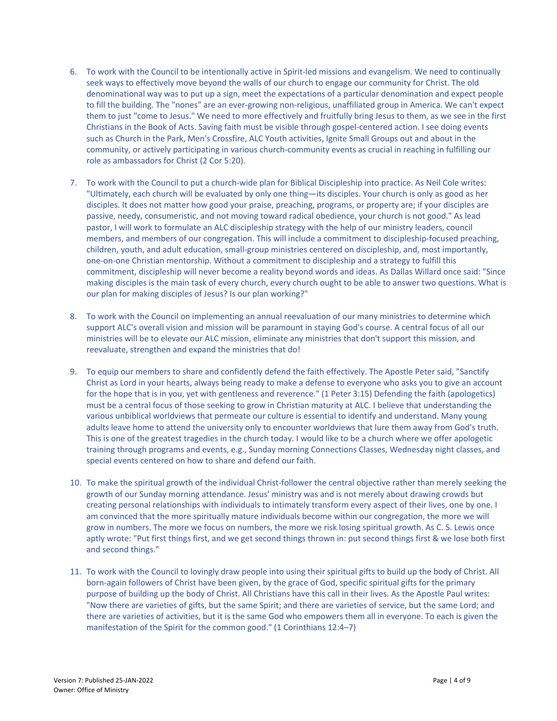- 6. To work with the Council to be intentionally active in Spirit-led missions and evangelism. We need to continually seek ways to effectively move beyond the walls of our church to engage our community for Christ. The old denominational way was to put up a sign, meet the expectations of a particular denomination and expect people to fill the building. The "nones" are an ever-growing non-religious, unaffiliated group in America. We can't expect them to just "come to Jesus." We need to more effectively and fruitfully bring Jesus to them, as we see in the first Christians in the Book of Acts. Saving faith must be visible through gospel-centered action. I see doing events such as Church in the Park, Men's Crossfire, ALC Youth activities, Ignite Small Groups out and about in the community, or actively participating in various church-community events as crucial in reaching in fulfilling our role as ambassadors for Christ (2 Cor 5:20).
- 7. To work with the Council to put a church-wide plan for Biblical Discipleship into practice. As Neil Cole writes: "Ultimately, each church will be evaluated by only one thing―its disciples. Your church is only as good as her disciples. It does not matter how good your praise, preaching, programs, or property are; if your disciples are passive, needy, consumeristic, and not moving toward radical obedience, your church is not good." As lead pastor, I will work to formulate an ALC discipleship strategy with the help of our ministry leaders, council members, and members of our congregation. This will include a commitment to discipleship-focused preaching, children, youth, and adult education, small-group ministries centered on discipleship, and, most importantly, one-on-one Christian mentorship. Without a commitment to discipleship and a strategy to fulfill this commitment, discipleship will never become a reality beyond words and ideas. As Dallas Willard once said: "Since making disciples is the main task of every church, every church ought to be able to answer two questions. What is our plan for making disciples of Jesus? Is our plan working?"
- 8. To work with the Council on implementing an annual reevaluation of our many ministries to determine which support ALC's overall vision and mission will be paramount in staying God's course. A central focus of all our ministries will be to elevate our ALC mission, eliminate any ministries that don't support this mission, and reevaluate, strengthen and expand the ministries that do!
- 9. To equip our members to share and confidently defend the faith effectively. The Apostle Peter said, "Sanctify Christ as Lord in your hearts, always being ready to make a defense to everyone who asks you to give an account for the hope that is in you, yet with gentleness and reverence." (1 Peter 3:15) Defending the faith (apologetics) must be a central focus of those seeking to grow in Christian maturity at ALC. I believe that understanding the various unbiblical worldviews that permeate our culture is essential to identify and understand. Many young adults leave home to attend the university only to encounter worldviews that lure them away from God's truth. This is one of the greatest tragedies in the church today. I would like to be a church where we offer apologetic training through programs and events, e.g., Sunday morning Connections Classes, Wednesday night classes, and special events centered on how to share and defend our faith.
- 10. To make the spiritual growth of the individual Christ-follower the central objective rather than merely seeking the growth of our Sunday morning attendance. Jesus' ministry was and is not merely about drawing crowds but creating personal relationships with individuals to intimately transform every aspect of their lives, one by one. I am convinced that the more spiritually mature individuals become within our congregation, the more we will grow in numbers. The more we focus on numbers, the more we risk losing spiritual growth. As C. S. Lewis once aptly wrote: "Put first things first, and we get second things thrown in: put second things first & we lose both first and second things."
- 11. To work with the Council to lovingly draw people into using their spiritual gifts to build up the body of Christ. All born-again followers of Christ have been given, by the grace of God, specific spiritual gifts for the primary purpose of building up the body of Christ. All Christians have this call in their lives. As the Apostle Paul writes: "Now there are varieties of gifts, but the same Spirit; and there are varieties of service, but the same Lord; and there are varieties of activities, but it is the same God who empowers them all in everyone. To each is given the manifestation of the Spirit for the common good." (1 Corinthians 12:4–7)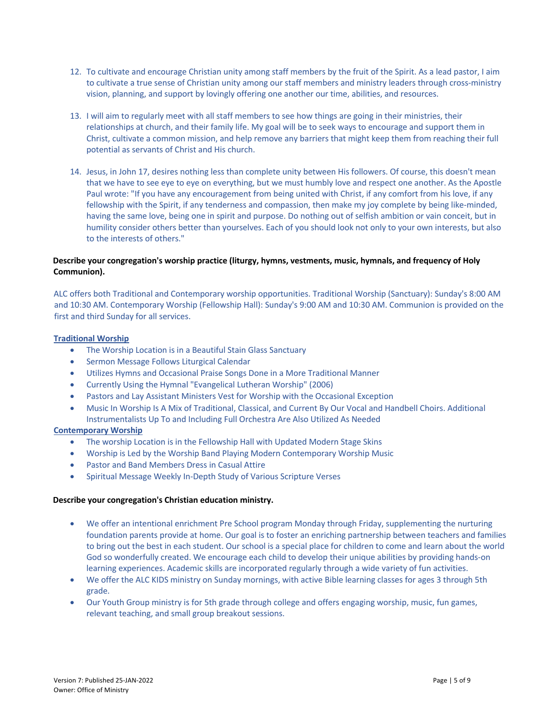- 12. To cultivate and encourage Christian unity among staff members by the fruit of the Spirit. As a lead pastor, I aim to cultivate a true sense of Christian unity among our staff members and ministry leaders through cross-ministry vision, planning, and support by lovingly offering one another our time, abilities, and resources.
- 13. I will aim to regularly meet with all staff members to see how things are going in their ministries, their relationships at church, and their family life. My goal will be to seek ways to encourage and support them in Christ, cultivate a common mission, and help remove any barriers that might keep them from reaching their full potential as servants of Christ and His church.
- 14. Jesus, in John 17, desires nothing less than complete unity between His followers. Of course, this doesn't mean that we have to see eye to eye on everything, but we must humbly love and respect one another. As the Apostle Paul wrote: "If you have any encouragement from being united with Christ, if any comfort from his love, if any fellowship with the Spirit, if any tenderness and compassion, then make my joy complete by being like-minded, having the same love, being one in spirit and purpose. Do nothing out of selfish ambition or vain conceit, but in humility consider others better than yourselves. Each of you should look not only to your own interests, but also to the interests of others."

## **Describe your congregation's worship practice (liturgy, hymns, vestments, music, hymnals, and frequency of Holy Communion).**

ALC offers both Traditional and Contemporary worship opportunities. Traditional Worship (Sanctuary): Sunday's 8:00 AM and 10:30 AM. Contemporary Worship (Fellowship Hall): Sunday's 9:00 AM and 10:30 AM. Communion is provided on the first and third Sunday for all services.

## **Traditional Worship**

- The Worship Location is in a Beautiful Stain Glass Sanctuary
- Sermon Message Follows Liturgical Calendar
- Utilizes Hymns and Occasional Praise Songs Done in a More Traditional Manner
- Currently Using the Hymnal "Evangelical Lutheran Worship" (2006)
- Pastors and Lay Assistant Ministers Vest for Worship with the Occasional Exception
- Music In Worship Is A Mix of Traditional, Classical, and Current By Our Vocal and Handbell Choirs. Additional Instrumentalists Up To and Including Full Orchestra Are Also Utilized As Needed

## **Contemporary Worship**

- The worship Location is in the Fellowship Hall with Updated Modern Stage Skins
- Worship is Led by the Worship Band Playing Modern Contemporary Worship Music
- Pastor and Band Members Dress in Casual Attire
- Spiritual Message Weekly In-Depth Study of Various Scripture Verses

#### **Describe your congregation's Christian education ministry.**

- We offer an intentional enrichment Pre School program Monday through Friday, supplementing the nurturing foundation parents provide at home. Our goal is to foster an enriching partnership between teachers and families to bring out the best in each student. Our school is a special place for children to come and learn about the world God so wonderfully created. We encourage each child to develop their unique abilities by providing hands-on learning experiences. Academic skills are incorporated regularly through a wide variety of fun activities.
- We offer the ALC KIDS ministry on Sunday mornings, with active Bible learning classes for ages 3 through 5th grade.
- Our Youth Group ministry is for 5th grade through college and offers engaging worship, music, fun games, relevant teaching, and small group breakout sessions.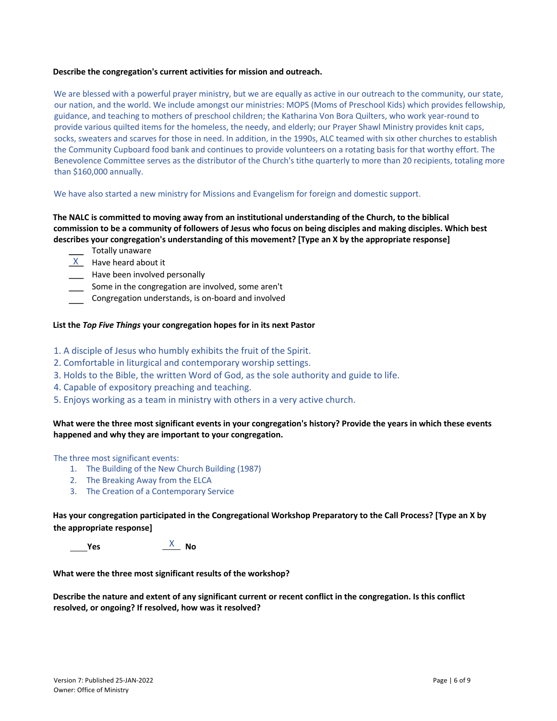#### **Describe the congregation's current activities for mission and outreach.**

We are blessed with a powerful prayer ministry, but we are equally as active in our outreach to the community, our state, our nation, and the world. We include amongst our ministries: MOPS (Moms of Preschool Kids) which provides fellowship, guidance, and teaching to mothers of preschool children; the Katharina Von Bora Quilters, who work year-round to provide various quilted items for the homeless, the needy, and elderly; our Prayer Shawl Ministry provides knit caps, socks, sweaters and scarves for those in need. In addition, in the 1990s, ALC teamed with six other churches to establish the Community Cupboard food bank and continues to provide volunteers on a rotating basis for that worthy effort. The Benevolence Committee serves as the distributor of the Church's tithe quarterly to more than 20 recipients, totaling more than \$160,000 annually.

#### We have also started a new ministry for Missions and Evangelism for foreign and domestic support.

**The NALC is committed to moving away from an institutional understanding of the Church, to the biblical commission to be a community of followers of Jesus who focus on being disciples and making disciples. Which best describes your congregation's understanding of this movement? [Type an X by the appropriate response]** 

- \_\_ Totally unaware
- $X$  Have heard about it
- \_\_\_\_ Have been involved personally
- Some in the congregation are involved, some aren't
- Congregation understands, is on-board and involved

#### **List the** *Top Five Things* **your congregation hopes for in its next Pastor**

- 1. A disciple of Jesus who humbly exhibits the fruit of the Spirit.
- 2. Comfortable in liturgical and contemporary worship settings.
- 3. Holds to the Bible, the written Word of God, as the sole authority and guide to life.
- 4. Capable of expository preaching and teaching.
- 5. Enjoys working as a team in ministry with others in a very active church.

## **What were the three most significant events in your congregation's history? Provide the years in which these events happened and why they are important to your congregation.**

The three most significant events:

- 1. The Building of the New Church Building (1987)
- 2. The Breaking Away from the ELCA
- 3. The Creation of a Contemporary Service

**Has your congregation participated in the Congregational Workshop Preparatory to the Call Process? [Type an X by the appropriate response]** 

 **Yes No**  X

**What were the three most significant results of the workshop?** 

**Describe the nature and extent of any significant current or recent conflict in the congregation. Is this conflict resolved, or ongoing? If resolved, how was it resolved?**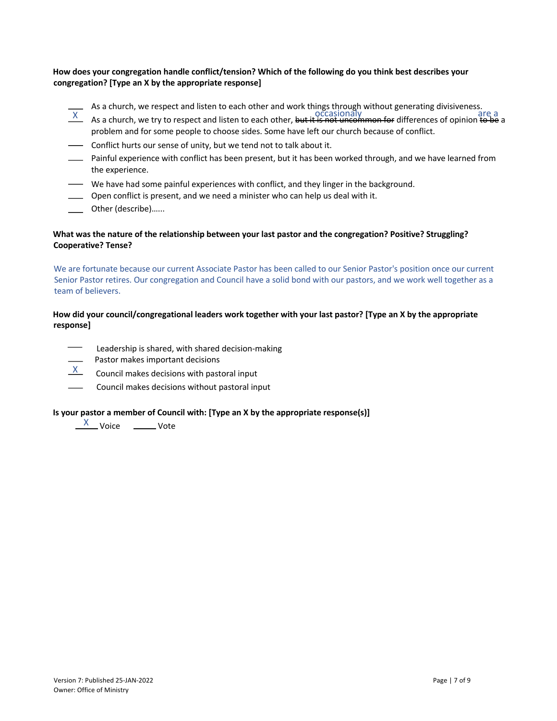## **How does your congregation handle conflict/tension? Which of the following do you think best describes your congregation? [Type an X by the appropriate response]**

- As a church, we respect and listen to each other and work things through without generating divisiveness.
- As a church, we tepper and listen to each other, but it is not uncommon for differences of opinion to be a a church, we try to respect and listen to each other, but it is not uncommon for differences of opinion to be a problem and for some people to choose sides. Some have left our church because of conflict.
- Conflict hurts our sense of unity, but we tend not to talk about it.
- Painful experience with conflict has been present, but it has been worked through, and we have learned from the experience.
- We have had some painful experiences with conflict, and they linger in the background.
- Open conflict is present, and we need a minister who can help us deal with it.
- Other (describe)…...

## **What was the nature of the relationship between your last pastor and the congregation? Positive? Struggling? Cooperative? Tense?**

We are fortunate because our current Associate Pastor has been called to our Senior Pastor's position once our current Senior Pastor retires. Our congregation and Council have a solid bond with our pastors, and we work well together as a team of believers.

## **How did your council/congregational leaders work together with your last pastor? [Type an X by the appropriate response]**

- Leadership is shared, with shared decision-making
- Pastor makes important decisions
- $\frac{X}{X}$  Council makes decisions with pastoral input
- Council makes decisions without pastoral input

## **Is your pastor a member of Council with: [Type an X by the appropriate response(s)]**

X Voice \_\_\_\_\_\_\_\_ Vote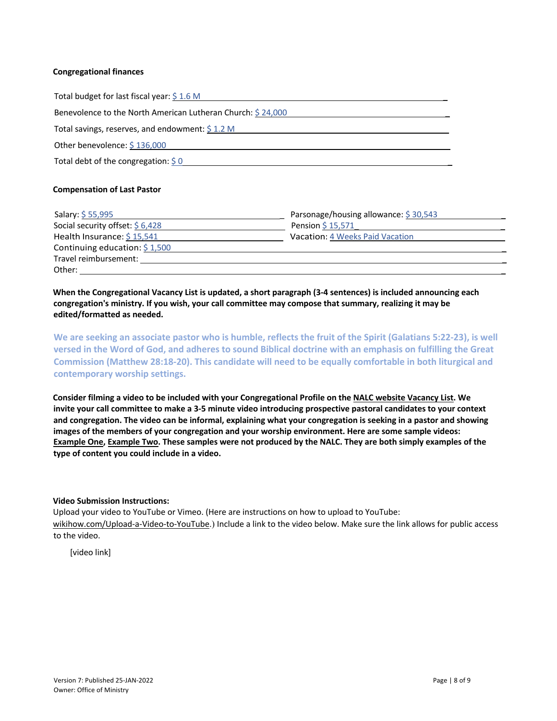#### **Congregational finances**

| Total budget for last fiscal year: \$1.6 M                  |
|-------------------------------------------------------------|
| Benevolence to the North American Lutheran Church: \$24,000 |
| Total savings, reserves, and endowment: $\sin 1.2$ M        |
| Other benevolence: $$136,000$                               |
| Total debt of the congregation: $\frac{2}{3}$ 0             |

#### **Compensation of Last Pastor**

| Salary: \$55,995                 | Parsonage/housing allowance: \$30,543  |
|----------------------------------|----------------------------------------|
| Social security offset: $$6,428$ | Pension $$15,571$                      |
| Health Insurance: $$15,541$      | <b>Vacation: 4 Weeks Paid Vacation</b> |
| Continuing education: $$1,500$   |                                        |
| Travel reimbursement:            |                                        |
| Other:                           |                                        |

**When the Congregational Vacancy List is updated, a short paragraph (3-4 sentences) is included announcing each congregation's ministry. If you wish, your call committee may compose that summary, realizing it may be edited/formatted as needed.** 

**We are seeking an associate pastor who is humble, reflects the fruit of the Spirit (Galatians 5:22-23), is well versed in the Word of God, and adheres to sound Biblical doctrine with an emphasis on fulfilling the Great Commission (Matthew 28:18-20). This candidate will need to be equally comfortable in both liturgical and contemporary worship settings.**

**Consider filming a video to be included with your Congregational Profile on the NALC website Vacancy List. We invite your call committee to make a 3-5 minute video introducing prospective pastoral candidates to your context and congregation. The video can be informal, explaining what your congregation is seeking in a pastor and showing images of the members of your congregation and your worship environment. Here are some sample videos: Example One, Example Two. These samples were not produced by the NALC. They are both simply examples of the type of content you could include in a video.** 

## **Video Submission Instructions:**

Upload your video to YouTube or Vimeo. (Here are instructions on how to upload to YouTube: wikihow.com/Upload-a-Video-to-YouTube.) Include a link to the video below. Make sure the link allows for public access to the video.

[video link]